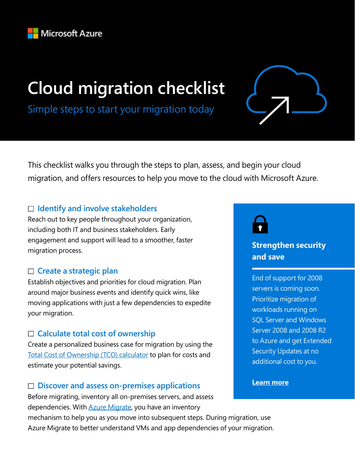

# **Cloud migration checklist**



Simple steps to start your migration today

This checklist walks you through the steps to plan, assess, and begin your cloud migration, and offers resources to help you move to the cloud with Microsoft Azure.

### **Identify and involve stakeholders**

Reach out to key people throughout your organization, including both IT and business stakeholders. Early engagement and support will lead to a smoother, faster migration process.

#### **Create a strategic plan**

Establish objectives and priorities for cloud migration. Plan around major business events and identify quick wins, like moving applications with just a few dependencies to expedite your migration.

#### **Calculate total cost of ownership**

Create a personalized business case for migration by using the [Total Cost of Ownership \(TCO\) calculator](https://azure.microsoft.com/pricing/tco/calculator/?ocid=CM_Discovery_Checklist_PDF) [t](http:// )o plan for costs and estimate your potential savings.

### **Discover and assess on-premises applications**

Before migrating, inventory all on-premises servers, and assess dependencies. With **Azure Migrate**, you have an inventory

mechanism to help you as you move into subsequent steps. During migration, use Azure Migrate to better understand VMs and app dependencies of your migration.



### **Strengthen security and save**

End of support for 2008 servers is coming soon. Prioritize migration of workloads running on SQL Server and Windows Server 2008 and 2008 R2 to Azure and get Extended Security Updates at no additional cost to you.

**[Learn more](http://download.microsoft.com/download/A/3/F/A3F0908A-0FD8-494C-82BC-E75F313F3FAD/Extended_Security_Updates_for_Windows_Server_2008_and_SQL_Server_2008_End_of_Service.pdf?=wt?ocid=CM_Discovery_Checklist_PDF)**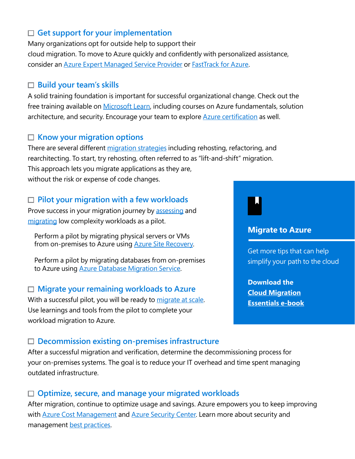### **Get support for your implementation**

Many organizations opt for outside help to support their cloud migration. To move to Azure quickly and confidently with personalized assistance, consider an [Azure Expert Managed Service Provider](https://www.microsoft.com/solution-providers/search?cacheId=9c2fed4f-f9e2-42fb-8966-4c565f08f11e&ocid=CM_Discovery_Checklist_PDF) or [FastTrack for Azure.](https://azure.microsoft.com/programs/azure-fasttrack/?ocid=CM_Discovery_Checklist_PDF)

#### **Build your team's skills**

A solid training foundation is important for successful organizational change. Check out the free training available on [Microsoft Learn,](https://docs.microsoft.com/learn/azure/?ocid=CM_Discovery_Checklist_PDF) including courses on Azure fundamentals, solution architecture, and security. Encourage your team to explore **[Azure certification](https://www.microsoft.com/learning/certification-overview.aspx?ocid=CM_Discovery_Checklist_PDF)** as well.

#### **Know your migration option[s](https://azure.microsoft.com/en-us/migration/get-started/#migrate)**

There are several different [migration strategies](https://azure.microsoft.com/migration/get-started/?ocid=CM_Discovery_Checklist_PDF#migrate) including rehosting, refactoring, and rearchitecting. To start, try rehosting, often referred to as "lift-and-shift" migration. This approach lets you migrate applications as they are, without the risk or expense of code changes.

#### **Pilot your migration with a few workloads**

Prove success in your migration journey by [assessing](https://docs.microsoft.com/azure/migrate/contoso-migration-assessment?ocid=CM_Discovery_Checklist_PDF) and [migrating](https://docs.microsoft.com/azure/migrate/contoso-migration-rehost-vm?ocid=CM_Discovery_Checklist_PDF) low complexity workloads as a pilot.

 Perform a pilot by migrating physical servers or VMs from on-premises to Azure using **Azure Site Recovery**.

 Perform a pilot by migrating databases from on-premises to Azure using [Azure Database Migration Service](https://azure.microsoft.com/services/database-migration/?ocid=CM_Discovery_Checklist_PDF).

#### **Migrate your remaining workloads to Azure**

With a successful pilot, you will be ready to [migrate at scale](https://docs.microsoft.com/azure/migrate/contoso-migration-scale?ocid=CM_Discovery_Checklist_PDF). Use learnings and tools from the pilot to complete your workload migration to Azure.

#### **Migrate to Azure**

Get more tips that can help simplify your path to the cloud

**Download the [Cloud Migration](https://azure.microsoft.com/resources/cloud-migration-essentials-e-book/?ocid=DM_CLE) [Essentials e-book](https://azure.microsoft.com/resources/cloud-migration-essentials-e-book/?ocid=DM_CLE)**

#### **Decommission existing on-premises infrastructure**

After a successful migration and verification, determine the decommissioning process for your on-premises systems. The goal is to reduce your IT overhead and time spent managing outdated infrastructure.

#### **Optimize, secure, and manage your migrated workloads**

After migration, continue to optimize usage and savings. Azure empowers you to keep improving with **[Azure Cost Management](https://azure.microsoft.com/services/cost-management/?ocid=CM_Discovery_Checklist_PDF) and [Azure Security Center.](https://azure.microsoft.com/services/security-center/?ocid=CM_Discovery_Checklist_PDF)** Learn more about security and management [best practices](https://docs.microsoft.com/azure/migrate/migrate-best-practices-security-management?ocid=CM_Discovery_Checklist_PDF).